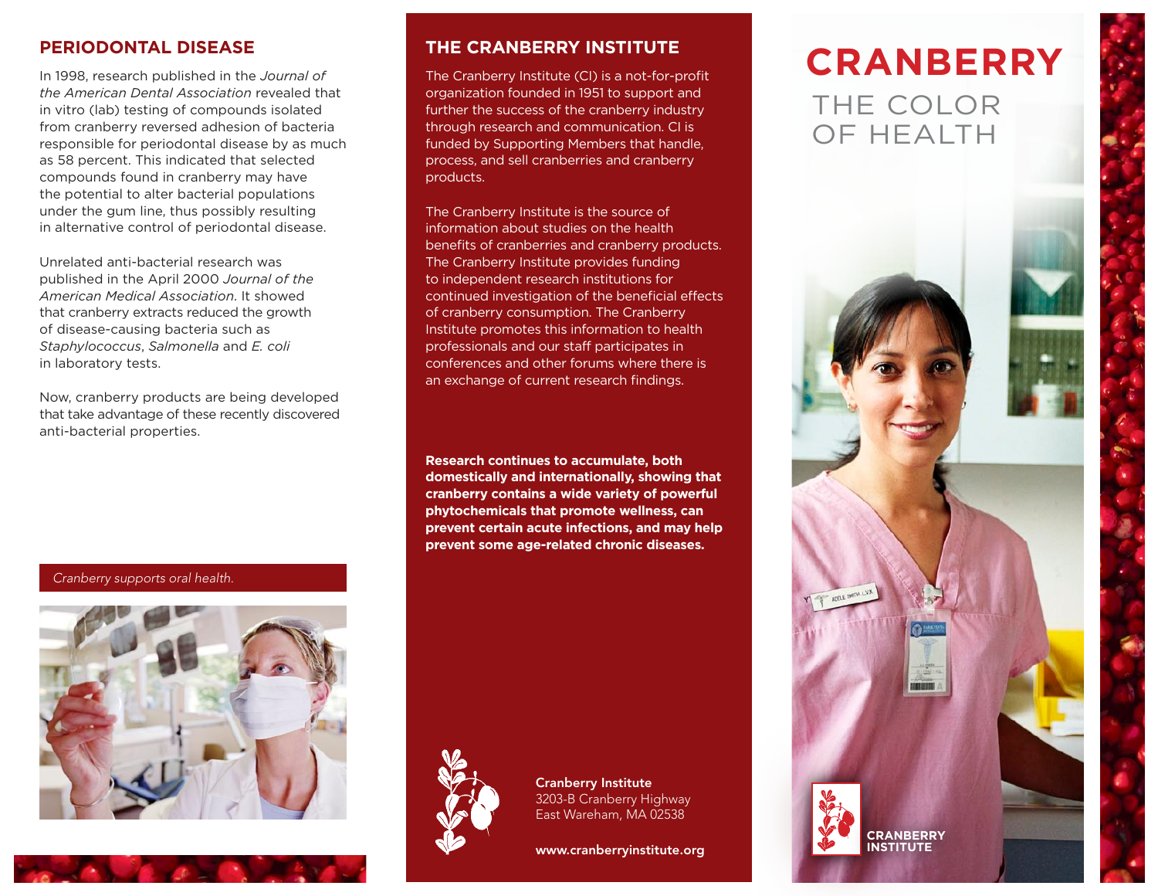#### **PERIODONTAL DISEASE**

In 1998, research published in the *Journal of the American Dental Association* revealed that in vitro (lab) testing of compounds isolated from cranberry reversed adhesion of bacteria responsible for periodontal disease by as much as 58 percent. This indicated that selected compounds found in cranberry may have the potential to alter bacterial populations under the gum line, thus possibly resulting in alternative control of periodontal disease.

Unrelated anti-bacterial research was published in the April 2000 *Journal of the American Medical Association*. It showed that cranberry extracts reduced the growth of disease-causing bacteria such as *Staphylococcus*, *Salmonella* and *E. coli*  in laboratory tests.

Now, cranberry products are being developed that take advantage of these recently discovered anti-bacterial properties.

Cranberry supports oral health.



#### **THE CRANBERRY INSTITUTE**

The Cranberry Institute (CI) is a not-for-profit organization founded in 1951 to support and further the success of the cranberry industry through research and communication. CI is funded by Supporting Members that handle, process, and sell cranberries and cranberry products.

The Cranberry Institute is the source of information about studies on the health benefits of cranberries and cranberry products. The Cranberry Institute provides funding to independent research institutions for continued investigation of the beneficial effects of cranberry consumption. The Cranberry Institute promotes this information to health professionals and our staff participates in conferences and other forums where there is an exchange of current research findings.

**Research continues to accumulate, both domestically and internationally, showing that cranberry contains a wide variety of powerful phytochemicals that promote wellness, can prevent certain acute infections, and may help prevent some age-related chronic diseases.**



Cranberry Institute 3203-B Cranberry Highway East Wareham, MA 02538

www.cranberryinstitute.org

# THE COLOR OF HEALTH **CRANBERRY**